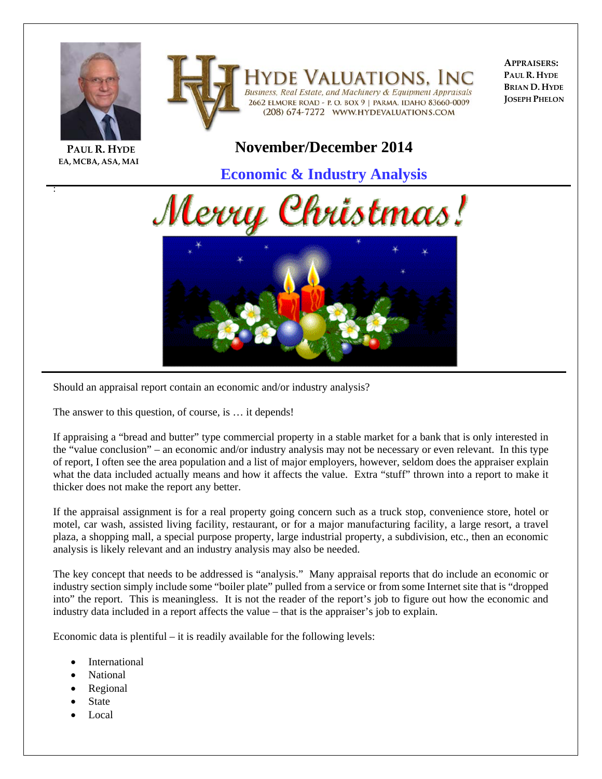



**APPRAISERS: PAUL R. HYDE BRIAN D. HYDE JOSEPH PHELON**

## **PAUL R. HYDE EA, MCBA, ASA, MAI**

:

## **November/December 2014**

**Economic & Industry Analysis**





Should an appraisal report contain an economic and/or industry analysis?

The answer to this question, of course, is … it depends!

If appraising a "bread and butter" type commercial property in a stable market for a bank that is only interested in the "value conclusion" – an economic and/or industry analysis may not be necessary or even relevant. In this type of report, I often see the area population and a list of major employers, however, seldom does the appraiser explain what the data included actually means and how it affects the value. Extra "stuff" thrown into a report to make it thicker does not make the report any better.

If the appraisal assignment is for a real property going concern such as a truck stop, convenience store, hotel or motel, car wash, assisted living facility, restaurant, or for a major manufacturing facility, a large resort, a travel plaza, a shopping mall, a special purpose property, large industrial property, a subdivision, etc., then an economic analysis is likely relevant and an industry analysis may also be needed.

The key concept that needs to be addressed is "analysis." Many appraisal reports that do include an economic or industry section simply include some "boiler plate" pulled from a service or from some Internet site that is "dropped into" the report. This is meaningless. It is not the reader of the report's job to figure out how the economic and industry data included in a report affects the value – that is the appraiser's job to explain.

Economic data is plentiful – it is readily available for the following levels:

- International
- National
- Regional
- State
- Local